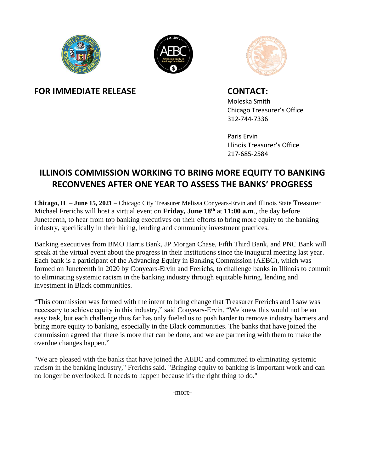





**FOR IMMEDIATE RELEASE CONTACT:** 

Moleska Smith Chicago Treasurer's Office 312-744-7336

Paris Ervin Illinois Treasurer's Office 217-685-2584

# **ILLINOIS COMMISSION WORKING TO BRING MORE EQUITY TO BANKING RECONVENES AFTER ONE YEAR TO ASSESS THE BANKS' PROGRESS**

**Chicago, IL – June 15, 2021 –** Chicago City Treasurer Melissa Conyears-Ervin and Illinois State Treasurer Michael Frerichs will host a virtual event on **Friday, June 18th** at **11:00 a.m**., the day before Juneteenth, to hear from top banking executives on their efforts to bring more equity to the banking industry, specifically in their hiring, lending and community investment practices.

Banking executives from BMO Harris Bank, JP Morgan Chase, Fifth Third Bank, and PNC Bank will speak at the virtual event about the progress in their institutions since the inaugural meeting last year. Each bank is a participant of the Advancing Equity in Banking Commission (AEBC), which was formed on Juneteenth in 2020 by Conyears-Ervin and Frerichs, to challenge banks in Illinois to commit to eliminating systemic racism in the banking industry through equitable hiring, lending and investment in Black communities.

 commission agreed that there is more that can be done, and we are partnering with them to make the "This commission was formed with the intent to bring change that Treasurer Frerichs and I saw was necessary to achieve equity in this industry," said Conyears-Ervin. "We knew this would not be an easy task, but each challenge thus far has only fueled us to push harder to remove industry barriers and bring more equity to banking, especially in the Black communities. The banks that have joined the overdue changes happen."

"We are pleased with the banks that have joined the AEBC and committed to eliminating systemic racism in the banking industry," Frerichs said. "Bringing equity to banking is important work and can no longer be overlooked. It needs to happen because it's the right thing to do."

-more-